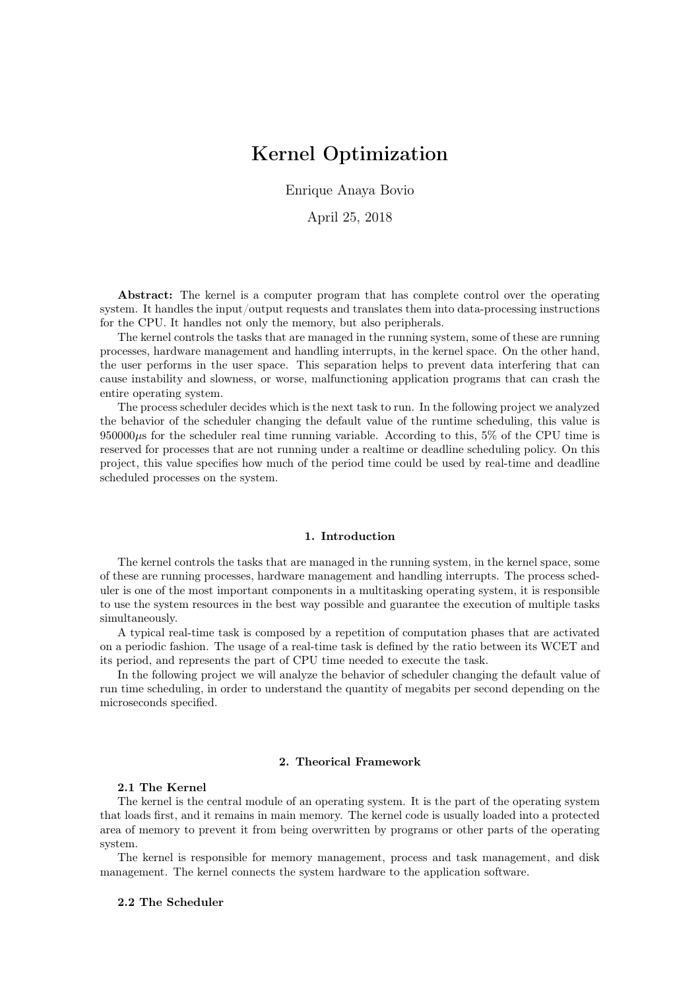# Kernel Optimization

Enrique Anaya Bovio

April 25, 2018

Abstract: The kernel is a computer program that has complete control over the operating system. It handles the input/output requests and translates them into data-processing instructions for the CPU. It handles not only the memory, but also peripherals.

The kernel controls the tasks that are managed in the running system, some of these are running processes, hardware management and handling interrupts, in the kernel space. On the other hand, the user performs in the user space. This separation helps to prevent data interfering that can cause instability and slowness, or worse, malfunctioning application programs that can crash the entire operating system.

The process scheduler decides which is the next task to run. In the following project we analyzed the behavior of the scheduler changing the default value of the runtime scheduling, this value is  $950000\mu$ s for the scheduler real time running variable. According to this, 5% of the CPU time is reserved for processes that are not running under a realtime or deadline scheduling policy. On this project, this value specifies how much of the period time could be used by real-time and deadline scheduled processes on the system.

## 1. Introduction

The kernel controls the tasks that are managed in the running system, in the kernel space, some of these are running processes, hardware management and handling interrupts. The process scheduler is one of the most important components in a multitasking operating system, it is responsible to use the system resources in the best way possible and guarantee the execution of multiple tasks simultaneously.

A typical real-time task is composed by a repetition of computation phases that are activated on a periodic fashion. The usage of a real-time task is defined by the ratio between its WCET and its period, and represents the part of CPU time needed to execute the task.

In the following project we will analyze the behavior of scheduler changing the default value of run time scheduling, in order to understand the quantity of megabits per second depending on the microseconds specified.

#### 2. Theorical Framework

## 2.1 The Kernel

The kernel is the central module of an operating system. It is the part of the operating system that loads first, and it remains in main memory. The kernel code is usually loaded into a protected area of memory to prevent it from being overwritten by programs or other parts of the operating system.

The kernel is responsible for memory management, process and task management, and disk management. The kernel connects the system hardware to the application software.

#### 2.2 The Scheduler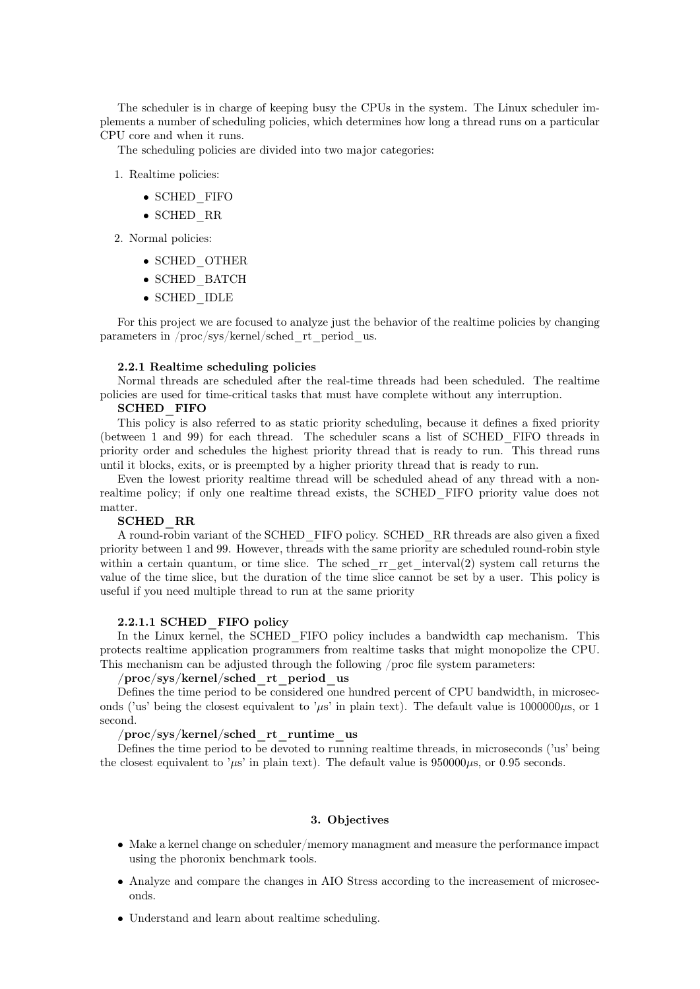The scheduler is in charge of keeping busy the CPUs in the system. The Linux scheduler implements a number of scheduling policies, which determines how long a thread runs on a particular CPU core and when it runs.

The scheduling policies are divided into two major categories:

- 1. Realtime policies:
	- SCHED\_FIFO
	- SCHED\_RR
- 2. Normal policies:
	- SCHED\_OTHER
	- SCHED\_BATCH
	- SCHED\_IDLE

For this project we are focused to analyze just the behavior of the realtime policies by changing parameters in /proc/sys/kernel/sched\_rt\_period\_us.

#### 2.2.1 Realtime scheduling policies

Normal threads are scheduled after the real-time threads had been scheduled. The realtime policies are used for time-critical tasks that must have complete without any interruption.

## SCHED\_FIFO

This policy is also referred to as static priority scheduling, because it defines a fixed priority (between 1 and 99) for each thread. The scheduler scans a list of SCHED\_FIFO threads in priority order and schedules the highest priority thread that is ready to run. This thread runs until it blocks, exits, or is preempted by a higher priority thread that is ready to run.

Even the lowest priority realtime thread will be scheduled ahead of any thread with a nonrealtime policy; if only one realtime thread exists, the SCHED\_FIFO priority value does not matter.

## SCHED\_RR

A round-robin variant of the SCHED\_FIFO policy. SCHED\_RR threads are also given a fixed priority between 1 and 99. However, threads with the same priority are scheduled round-robin style within a certain quantum, or time slice. The sched  $rr$  get interval(2) system call returns the value of the time slice, but the duration of the time slice cannot be set by a user. This policy is useful if you need multiple thread to run at the same priority

#### 2.2.1.1 SCHED\_FIFO policy

In the Linux kernel, the SCHED FIFO policy includes a bandwidth cap mechanism. This protects realtime application programmers from realtime tasks that might monopolize the CPU. This mechanism can be adjusted through the following /proc file system parameters:

#### /proc/sys/kernel/sched\_rt\_period\_us

Defines the time period to be considered one hundred percent of CPU bandwidth, in microseconds ('us' being the closest equivalent to ' $\mu$ s' in plain text). The default value is 1000000 $\mu$ s, or 1 second.

/proc/sys/kernel/sched\_rt\_runtime\_us

Defines the time period to be devoted to running realtime threads, in microseconds ('us' being the closest equivalent to ' $\mu$ s' in plain text). The default value is 950000 $\mu$ s, or 0.95 seconds.

## 3. Objectives

- Make a kernel change on scheduler/memory managment and measure the performance impact using the phoronix benchmark tools.
- Analyze and compare the changes in AIO Stress according to the increasement of microseconds.
- Understand and learn about realtime scheduling.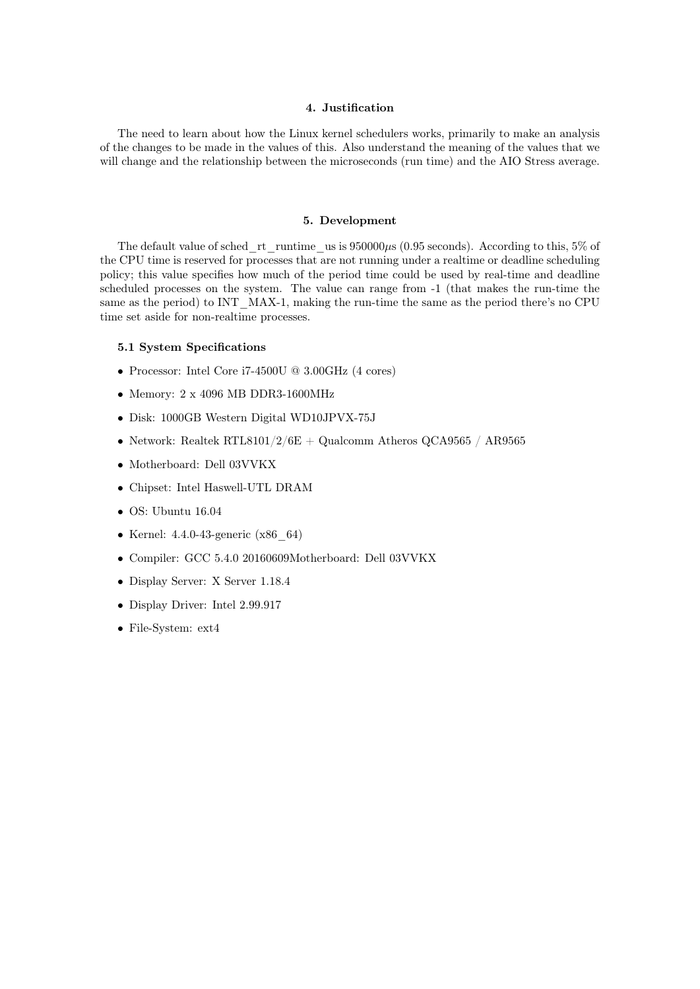# 4. Justification

The need to learn about how the Linux kernel schedulers works, primarily to make an analysis of the changes to be made in the values of this. Also understand the meaning of the values that we will change and the relationship between the microseconds (run time) and the AIO Stress average.

#### 5. Development

The default value of sched rt runtime us is  $950000\mu$ s (0.95 seconds). According to this, 5% of the CPU time is reserved for processes that are not running under a realtime or deadline scheduling policy; this value specifies how much of the period time could be used by real-time and deadline scheduled processes on the system. The value can range from -1 (that makes the run-time the same as the period) to INT MAX-1, making the run-time the same as the period there's no CPU time set aside for non-realtime processes.

## 5.1 System Specifications

- Processor: Intel Core i7-4500U @ 3.00GHz (4 cores)
- Memory: 2 x 4096 MB DDR3-1600MHz
- Disk: 1000GB Western Digital WD10JPVX-75J
- Network: Realtek RTL8101/2/6E + Qualcomm Atheros QCA9565 / AR9565
- Motherboard: Dell 03VVKX
- Chipset: Intel Haswell-UTL DRAM
- OS: Ubuntu 16.04
- Kernel: 4.4.0-43-generic (x86 64)
- Compiler: GCC 5.4.0 20160609Motherboard: Dell 03VVKX
- Display Server: X Server 1.18.4
- Display Driver: Intel 2.99.917
- File-System: ext4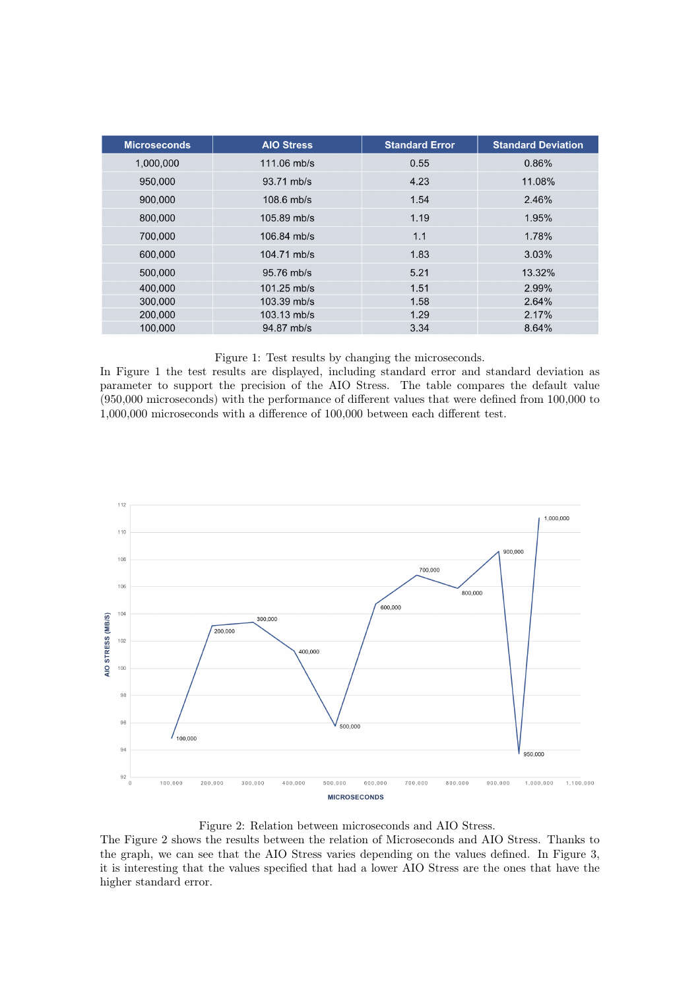| <b>Microseconds</b> | <b>AIO Stress</b> | <b>Standard Error</b> | <b>Standard Deviation</b> |
|---------------------|-------------------|-----------------------|---------------------------|
| 1,000,000           | $111.06$ mb/s     | 0.55                  | 0.86%                     |
| 950,000             | 93.71 mb/s        | 4.23                  | 11.08%                    |
| 900,000             | $108.6$ mb/s      | 1.54                  | 2.46%                     |
| 800,000             | $105.89$ mb/s     | 1.19                  | 1.95%                     |
| 700,000             | $106.84$ mb/s     | 1.1                   | 1.78%                     |
| 600,000             | 104.71 mb/s       | 1.83                  | 3.03%                     |
| 500,000             | 95.76 mb/s        | 5.21                  | 13.32%                    |
| 400,000             | $101.25$ mb/s     | 1.51                  | 2.99%                     |
| 300,000             | 103.39 mb/s       | 1.58                  | 2.64%                     |
| 200,000             | 103.13 mb/s       | 1.29                  | 2.17%                     |
| 100,000             | 94.87 mb/s        | 3.34                  | 8.64%                     |

# Figure 1: Test results by changing the microseconds.

In Figure 1 the test results are displayed, including standard error and standard deviation as parameter to support the precision of the AIO Stress. The table compares the default value (950,000 microseconds) with the performance of different values that were defined from 100,000 to 1,000,000 microseconds with a difference of 100,000 between each different test.



## Figure 2: Relation between microseconds and AIO Stress.

The Figure 2 shows the results between the relation of Microseconds and AIO Stress. Thanks to the graph, we can see that the AIO Stress varies depending on the values defined. In Figure 3, it is interesting that the values specified that had a lower AIO Stress are the ones that have the higher standard error.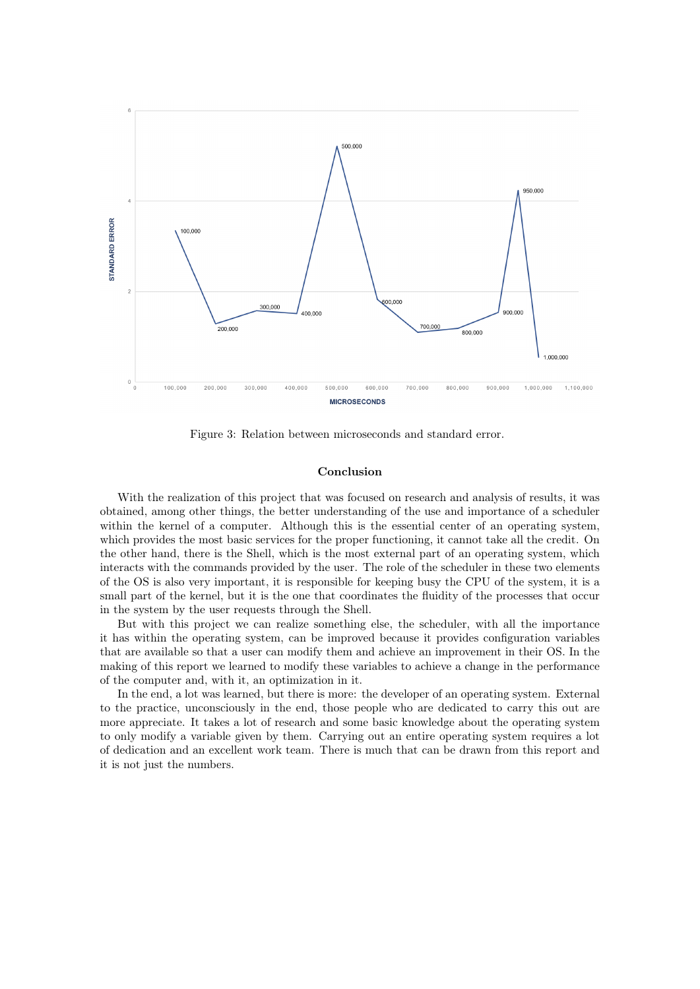

Figure 3: Relation between microseconds and standard error.

## Conclusion

With the realization of this project that was focused on research and analysis of results, it was obtained, among other things, the better understanding of the use and importance of a scheduler within the kernel of a computer. Although this is the essential center of an operating system, which provides the most basic services for the proper functioning, it cannot take all the credit. On the other hand, there is the Shell, which is the most external part of an operating system, which interacts with the commands provided by the user. The role of the scheduler in these two elements of the OS is also very important, it is responsible for keeping busy the CPU of the system, it is a small part of the kernel, but it is the one that coordinates the fluidity of the processes that occur in the system by the user requests through the Shell.

But with this project we can realize something else, the scheduler, with all the importance it has within the operating system, can be improved because it provides configuration variables that are available so that a user can modify them and achieve an improvement in their OS. In the making of this report we learned to modify these variables to achieve a change in the performance of the computer and, with it, an optimization in it.

In the end, a lot was learned, but there is more: the developer of an operating system. External to the practice, unconsciously in the end, those people who are dedicated to carry this out are more appreciate. It takes a lot of research and some basic knowledge about the operating system to only modify a variable given by them. Carrying out an entire operating system requires a lot of dedication and an excellent work team. There is much that can be drawn from this report and it is not just the numbers.